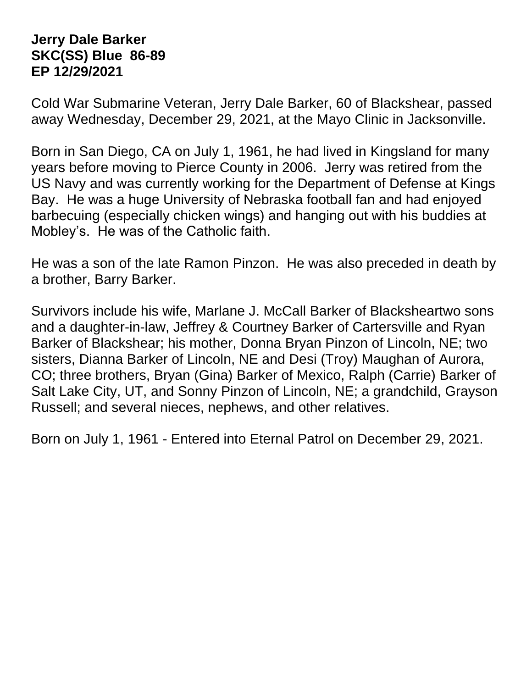## **Jerry Dale Barker SKC(SS) Blue 86-89 EP 12/29/2021**

Cold War Submarine Veteran, Jerry Dale Barker, 60 of Blackshear, passed away Wednesday, December 29, 2021, at the Mayo Clinic in Jacksonville.

Born in San Diego, CA on July 1, 1961, he had lived in Kingsland for many years before moving to Pierce County in 2006. Jerry was retired from the US Navy and was currently working for the Department of Defense at Kings Bay. He was a huge University of Nebraska football fan and had enjoyed barbecuing (especially chicken wings) and hanging out with his buddies at Mobley's. He was of the Catholic faith.

He was a son of the late Ramon Pinzon. He was also preceded in death by a brother, Barry Barker.

Survivors include his wife, Marlane J. McCall Barker of Blacksheartwo sons and a daughter-in-law, Jeffrey & Courtney Barker of Cartersville and Ryan Barker of Blackshear; his mother, Donna Bryan Pinzon of Lincoln, NE; two sisters, Dianna Barker of Lincoln, NE and Desi (Troy) Maughan of Aurora, CO; three brothers, Bryan (Gina) Barker of Mexico, Ralph (Carrie) Barker of Salt Lake City, UT, and Sonny Pinzon of Lincoln, NE; a grandchild, Grayson Russell; and several nieces, nephews, and other relatives.

Born on July 1, 1961 - Entered into Eternal Patrol on December 29, 2021.